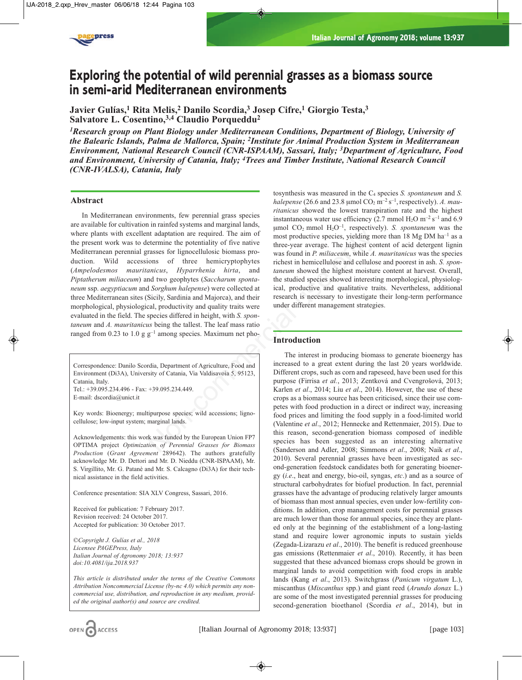

# **Exploring the potential of wild perennial grasses as a biomass source in semi-arid Mediterranean environments**

**Javier Gulías,1 Rita Melis,2 Danilo Scordia,3 Josep Cifre,1 Giorgio Testa,3 Salvatore L. Cosentino,3,4 Claudio Porqueddu2**

*1Research group on Plant Biology under Mediterranean Conditions, Department of Biology, University of the Balearic Islands, Palma de Mallorca, Spain; 2Institute for Animal Production System in Mediterranean Environment, National Research Council (CNR-ISPAAM), Sassari, Italy; 3Department of Agriculture, Food and Environment, University of Catania, Italy; 4Trees and Timber Institute, National Research Council (CNR-IVALSA), Catania, Italy*

# **Abstract**

In Mediterranean environments, few perennial grass species are available for cultivation in rainfed systems and marginal lands, where plants with excellent adaptation are required. The aim of the present work was to determine the potentiality of five native Mediterranean perennial grasses for lignocellulosic biomass production. Wild accessions of three hemicryptophytes (*Ampelodesmos mauritanicus*, *Hyparrhenia hirta*, and *Piptatherum miliaceum*) and two geophytes (*Saccharum spontaneum* ssp. *aegyptiacum* and *Sorghum halepense*) were collected at three Mediterranean sites (Sicily, Sardinia and Majorca), and their morphological, physiological, productivity and quality traits were evaluated in the field. The species differed in height, with *S. spontaneum* and *A. mauritanicus* being the tallest. The leaf mass ratio ranged from 0.23 to 1.0 g  $g^{-1}$  among species. Maximum net pho-The statement endependent of the native of the native species, yielding methods are all the potentiality of five native species, with a metasta comment and the preservation of three bennicryptophytes in the micrellulose a

Correspondence: Danilo Scordia, Department of Agriculture, Food and Environment (Di3A), University of Catania, Via Valdisavoia 5, 95123, Catania, Italy.

Tel.: +39.095.234.496 - Fax: +39.095.234.449. E-mail: dscordia@unict.it

Key words: Bioenergy; multipurpose species; wild accessions; lignocellulose; low-input system; marginal lands.

Acknowledgements: this work was funded by the European Union FP7 OPTIMA project *Optimization of Perennial Grasses for Biomass Production* (*Grant Agreement* 289642). The authors gratefully acknowledge Mr. D. Dettori and Mr. D. Nieddu (CNR-ISPAAM), Mr. S. Virgillito, Mr. G. Patanè and Mr. S. Calcagno (Di3A) for their technical assistance in the field activities.

Conference presentation: SIA XLV Congress, Sassari, 2016.

Received for publication: 7 February 2017. Revision received: 24 October 2017. Accepted for publication: 30 October 2017.

*©Copyright J. Gulías et al., 2018 Licensee PAGEPress, Italy Italian Journal of Agronomy 2018; 13:937 doi:10.4081/ija.2018.937*

*This article is distributed under the terms of the Creative Commons Attribution Noncommercial License (by-nc 4.0) which permits any noncommercial use, distribution, and reproduction in any medium, provided the original author(s) and source are credited.*

tosynthesis was measured in the C4 species *S. spontaneum* and *S.* halepense (26.6 and 23.8 µmol CO<sub>2</sub> m<sup>-2</sup> s<sup>-1</sup>, respectively). *A. mauritanicus* showed the lowest transpiration rate and the highest instantaneous water use efficiency (2.7 mmol  $H_2O$  m<sup>-2</sup> s<sup>-1</sup> and 6.9 umol  $CO_2$  mmol  $H_2O^{-1}$ , respectively). *S. spontaneum* was the most productive species, yielding more than 18 Mg DM ha–1 as a three-year average. The highest content of acid detergent lignin was found in *P. miliaceum*, while *A. mauritanicus* was the species richest in hemicellulose and cellulose and poorest in ash. *S. spontaneum* showed the highest moisture content at harvest. Overall, the studied species showed interesting morphological, physiological, productive and qualitative traits. Nevertheless, additional research is necessary to investigate their long-term performance under different management strategies.

# **Introduction**

The interest in producing biomass to generate bioenergy has increased to a great extent during the last 20 years worldwide. Different crops, such as corn and rapeseed, have been used for this purpose (Firrisa *et al.*, 2013; Zentková and Cvengrošová, 2013; Karlen *et al*., 2014; Liu *et al*., 2014). However, the use of these crops as a biomass source has been criticised, since their use competes with food production in a direct or indirect way, increasing food prices and limiting the food supply in a food-limited world (Valentine *et al*., 2012; Hennecke and Rettenmaier, 2015). Due to this reason, second-generation biomass composed of inedible species has been suggested as an interesting alternative (Sanderson and Adler, 2008; Simmons *et al*., 2008; Naik *et al*., 2010). Several perennial grasses have been investigated as second-generation feedstock candidates both for generating bioenergy (*i.e*., heat and energy, bio-oil, syngas, *etc*.) and as a source of structural carbohydrates for biofuel production. In fact, perennial grasses have the advantage of producing relatively larger amounts of biomass than most annual species, even under low-fertility conditions. In addition, crop management costs for perennial grasses are much lower than those for annual species, since they are planted only at the beginning of the establishment of a long-lasting stand and require lower agronomic inputs to sustain yields (Zegada-Lizarazu *et al*., 2010). The benefit is reduced greenhouse gas emissions (Rettenmaier *et al*., 2010). Recently, it has been suggested that these advanced biomass crops should be grown in marginal lands to avoid competition with food crops in arable lands (Kang *et al*., 2013). Switchgrass (*Panicum virgatum* L.), miscanthus (*Miscanthus* spp.) and giant reed (*Arundo donax* L.) are some of the most investigated perennial grasses for producing second-generation bioethanol (Scordia *et al*., 2014), but in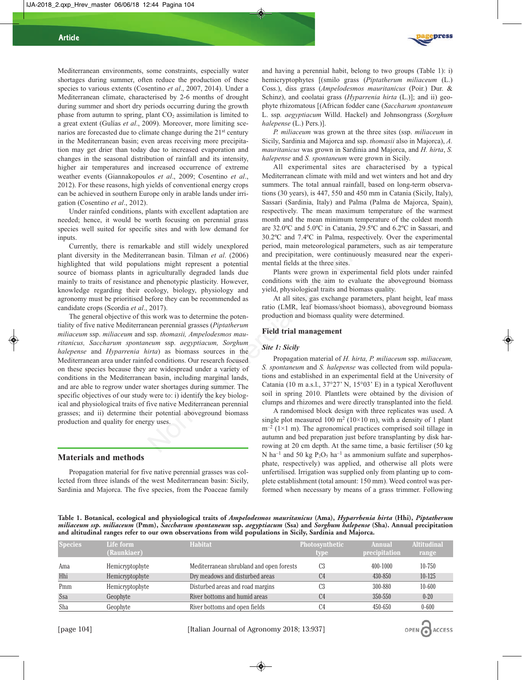

Mediterranean environments, some constraints, especially water shortages during summer, often reduce the production of these species to various extents (Cosentino *et al*., 2007, 2014). Under a Mediterranean climate, characterised by 2-6 months of drought during summer and short dry periods occurring during the growth phase from autumn to spring, plant  $CO<sub>2</sub>$  assimilation is limited to a great extent (Gulías *et al*., 2009). Moreover, more limiting scenarios are forecasted due to climate change during the 21st century in the Mediterranean basin; even areas receiving more precipitation may get drier than today due to increased evaporation and changes in the seasonal distribution of rainfall and its intensity, higher air temperatures and increased occurrence of extreme weather events (Giannakopoulos *et al*., 2009; Cosentino *et al*., 2012). For these reasons, high yields of conventional energy crops can be achieved in southern Europe only in arable lands under irrigation (Cosentino *et al*., 2012).

Under rainfed conditions, plants with excellent adaptation are needed; hence, it would be worth focusing on perennial grass species well suited for specific sites and with low demand for inputs.

Currently, there is remarkable and still widely unexplored plant diversity in the Mediterranean basin. Tilman *et al*. (2006) highlighted that wild populations might represent a potential source of biomass plants in agriculturally degraded lands due mainly to traits of resistance and phenotypic plasticity. However, knowledge regarding their ecology, biology, physiology and agronomy must be prioritised before they can be recommended as candidate crops (Scordia *et al*., 2017).

The general objective of this work was to determine the potentiality of five native Mediterranean perennial grasses (*Piptatherum miliaceum* ssp. *miliaceum* and ssp. *thomasii, Ampelodesmos mauritanicus, Saccharum spontaneum* ssp. *aegyptiacum, Sorghum halepense* and *Hyparrenia hirta*) as biomass sources in the Mediterranean area under rainfed conditions. Our research focused on these species because they are widespread under a variety of conditions in the Mediterranean basin, including marginal lands, and are able to regrow under water shortages during summer. The specific objectives of our study were to: i) identify the key biological and physiological traits of five native Mediterranean perennial grasses; and ii) determine their potential aboveground biomass production and quality for energy uses. Fractal Martin Contential Condition and the present of the small in the same of all widely unexplored period, main meteorological parameters<br>anea basin. Tilman *et al.* (2006) and precipitation, were continuously n<br>and ph

## **Materials and methods**

Propagation material for five native perennial grasses was collected from three islands of the west Mediterranean basin: Sicily, Sardinia and Majorca. The five species, from the Poaceae family

and having a perennial habit, belong to two groups (Table 1): i) hemicryptophytes [(smilo grass (*Piptatherum miliaceum* (L.) Coss.), diss grass (*Ampelodesmos mauritanicus* (Poir.) Dur. & Schinz), and coolatai grass (*Hyparrenia hirta* (L.)]; and ii) geophyte rhizomatous [(African fodder cane (*Saccharum spontaneum* L. ssp*. aegyptiacum* Willd. Hackel) and Johnsongrass (*Sorghum halepense* (L.) Pers.)].

*P. miliaceum* was grown at the three sites (ssp. *miliaceum* in Sicily, Sardinia and Majorca and ssp. *thomasii* also in Majorca), *A. mauritanicus* was grown in Sardinia and Majorca, and *H. hirta*, *S. halepense* and *S. spontaneum* were grown in Sicily.

All experimental sites are characterised by a typical Mediterranean climate with mild and wet winters and hot and dry summers. The total annual rainfall, based on long-term observations (30 years), is 447, 550 and 450 mm in Catania (Sicily, Italy), Sassari (Sardinia, Italy) and Palma (Palma de Majorca, Spain), respectively. The mean maximum temperature of the warmest month and the mean minimum temperature of the coldest month are 32.0ºC and 5.0ºC in Catania, 29.5ºC and 6.2ºC in Sassari, and 30.2ºC and 7.4ºC in Palma, respectively. Over the experimental period, main meteorological parameters, such as air temperature and precipitation, were continuously measured near the experimental fields at the three sites.

Plants were grown in experimental field plots under rainfed conditions with the aim to evaluate the aboveground biomass yield, physiological traits and biomass quality.

At all sites, gas exchange parameters, plant height, leaf mass ratio (LMR, leaf biomass/shoot biomass), aboveground biomass production and biomass quality were determined.

#### **Field trial management**

#### *Site 1: Sicily*

Propagation material of *H. hirta, P. miliaceum* ssp. *miliaceum, S. spontaneum* and *S. halepense* was collected from wild populations and established in an experimental field at the University of Catania (10 m a.s.l., 37°27' N, 15°03' E) in a typical Xerofluvent soil in spring 2010. Plantlets were obtained by the division of clumps and rhizomes and were directly transplanted into the field.

A randomised block design with three replicates was used. A single plot measured 100 m<sup>2</sup> (10×10 m), with a density of 1 plant  $m^{-2}$  (1×1 m). The agronomical practices comprised soil tillage in autumn and bed preparation just before transplanting by disk harrowing at 20 cm depth. At the same time, a basic fertiliser (50 kg N ha<sup>-1</sup> and 50 kg  $P_2O_5$  ha<sup>-1</sup> as ammonium sulfate and superphosphate, respectively) was applied, and otherwise all plots were unfertilised. Irrigation was supplied only from planting up to complete establishment (total amount: 150 mm). Weed control was performed when necessary by means of a grass trimmer. Following

**Table 1. Botanical, ecological and physiological traits of** *Ampelodesmos mauritanicus* **(Ama),** *Hyparrhenia hirta* **(Hhi),** *Piptatherum miliaceum ssp. miliaceum* **(Pmm),** *Saccharum spontaneum* **ssp.** *aegyptiacum* **(Ssa) and** *Sorghum halepense* **(Sha). Annual precipitation and altitudinal ranges refer to our own observations from wild populations in Sicily, Sardinia and Majorca.**

| <b>Species</b> | 'Life form<br>(Raunkiaer) | <b>Habitat</b>                           | Photosynthetic<br>type | Annual<br>precipitation | <b>Altitudinal</b><br>range |
|----------------|---------------------------|------------------------------------------|------------------------|-------------------------|-----------------------------|
| Ama            | Hemicryptophyte           | Mediterranean shrubland and open forests | C3                     | 400-1000                | 10-750                      |
| Hhi            | Hemicryptophyte           | Dry meadows and disturbed areas          | C4                     | 430-850                 | $10-125$                    |
| Pmm            | Hemicryptophyte           | Disturbed areas and road margins         | C3                     | 300-880                 | $10 - 600$                  |
| Ssa            | Geophyte                  | River bottoms and humid areas            | C4                     | 350-550                 | $0 - 20$                    |
| Sha            | Geophyte                  | River bottoms and open fields            | C4                     | 450-650                 | $0 - 600$                   |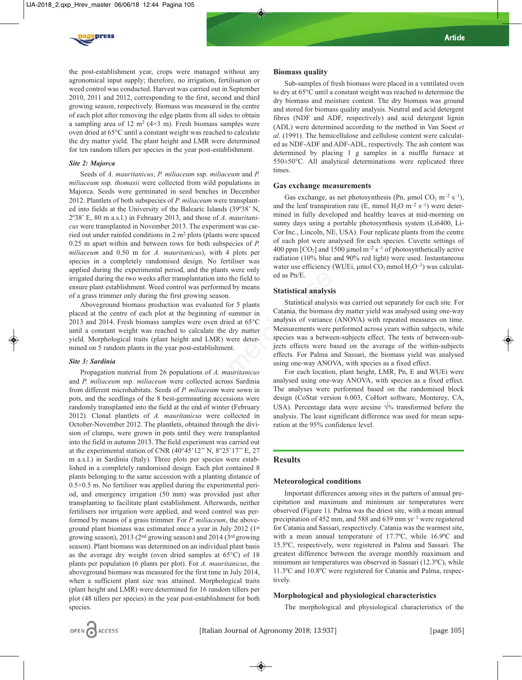

the post-establishment year, crops were managed without any agronomical input supply; therefore, no irrigation, fertilisation or weed control was conducted. Harvest was carried out in September 2010, 2011 and 2012, corresponding to the first, second and third growing season, respectively. Biomass was measured in the centre of each plot after removing the edge plants from all sides to obtain a sampling area of 12 m<sup>2</sup> (4×3 m). Fresh biomass samples were oven dried at 65°C until a constant weight was reached to calculate the dry matter yield. The plant height and LMR were determined for ten random tillers per species in the year post-establishment.

#### *Site 2: Majorca*

Seeds of *A. mauritanicus*, *P. miliaceum* ssp. *miliaceum* and *P. miliaceum* ssp*. thomasii* were collected from wild populations in Majorca. Seeds were germinated in seed benches in December 2012. Plantlets of both subspecies of *P. miliaceum* were transplanted into fields at the University of the Balearic Islands (39º38' N, 2º38' E, 80 m a.s.l.) in February 2013, and those of *A. mauritanicus* were transplanted in November 2013. The experiment was carried out under rainfed conditions in 2 m2 plots (plants were spaced 0.25 m apart within and between rows for both subspecies of *P. miliaceum* and 0.50 m for *A. mauritanicus*), with 4 plots per species in a completely randomised design. No fertiliser was applied during the experimental period, and the plants were only irrigated during the two weeks after transplantation into the field to ensure plant establishment. Weed control was performed by means of a grass trimmer only during the first growing season.

Aboveground biomass production was evaluated for 5 plants placed at the centre of each plot at the beginning of summer in 2013 and 2014. Fresh biomass samples were oven dried at 65°C until a constant weight was reached to calculate the dry matter yield. Morphological traits (plant height and LMR) were determined on 5 random plants in the year post-establishment.

#### *Site 3: Sardinia*

Propagation material from 26 populations of *A. mauritanicus* and *P. miliaceum* ssp. *miliaceum* were collected across Sardinia from different microhabitats. Seeds of *P. miliaceum* were sown in pots, and the seedlings of the 8 best-germinating accessions were randomly transplanted into the field at the end of winter (February 2012). Clonal plantlets of *A. mauritanicus* were collected in October-November 2012. The plantlets, obtained through the division of clumps, were grown in pots until they were transplanted into the field in autumn 2013. The field experiment was carried out at the experimental station of CNR (40°45'12'' N, 8°25'17'' E, 27 m a.s.l.) in Sardinia (Italy). Three plots per species were established in a completely randomised design. Each plot contained 8 plants belonging to the same accession with a planting distance of  $0.5 \times 0.5$  m. No fertiliser was applied during the experimental period, and emergency irrigation (50 mm) was provided just after transplanting to facilitate plant establishment. Afterwards, neither fertilisers nor irrigation were applied, and weed control was performed by means of a grass trimmer. For *P. miliaceum*, the aboveground plant biomass was estimated once a year in July 2012 (1st growing season), 2013 (2nd growing season) and 2014 (3rd growing season). Plant biomass was determined on an individual plant basis as the average dry weight (oven dried samples at 65°C) of 18 plants per population (6 plants per plot). For *A. mauritanicus*, the aboveground biomass was measured for the first time in July 2014, when a sufficient plant size was attained. Morphological traits (plant height and LMR) were determined for 16 random tillers per plot (48 tillers per species) in the year post-establishment for both species. itions in 2 m<sup>2</sup> plots (plants were spaced cor line, Lincoln, NE, USA). Four r A. mauritanicus), with 4 plots per defined to plot were allysed for each proceed rows for both subspective and the plants were only and in the

#### **Biomass quality**

Sub-samples of fresh biomass were placed in a ventilated oven to dry at 65°C until a constant weight was reached to determine the dry biomass and moisture content. The dry biomass was ground and stored for biomass quality analysis. Neutral and acid detergent fibres (NDF and ADF, respectively) and acid detergent lignin (ADL) were determined according to the method in Van Soest *et al*. (1991). The hemicellulose and cellulose content were calculated as NDF-ADF and ADF-ADL, respectively. The ash content was determined by placing 1 g samples in a muffle furnace at 550±50°C. All analytical determinations were replicated three times.

#### **Gas exchange measurements**

Gas exchange, as net photosynthesis (Pn,  $\mu$ mol CO<sub>2</sub> m<sup>-2</sup> s<sup>-1</sup>), and the leaf transpiration rate (E, mmol  $H_2O$  m<sup>-2</sup> s<sup>-1</sup>) were determined in fully developed and healthy leaves at mid-morning on sunny days using a portable photosynthesis system (Li6400, Li-Cor Inc., Lincoln, NE, USA). Four replicate plants from the centre of each plot were analysed for each species. Cuvette settings of 400 ppm  $[CO_2]$  and 1500 µmol m<sup>-2</sup> s<sup>-1</sup> of photosynthetically active radiation (10% blue and 90% red light) were used. Instantaneous water use efficiency (WUEi,  $\mu$ mol CO<sub>2</sub> mmol H<sub>2</sub>O<sup>-1</sup>) was calculated as Pn/E.

#### **Statistical analysis**

Statistical analysis was carried out separately for each site. For Catania, the biomass dry matter yield was analysed using one-way analysis of variance (ANOVA) with repeated measures on time. Measurements were performed across years within subjects, while species was a between-subjects effect. The tests of between-subjects effects were based on the average of the within-subjects effects. For Palma and Sassari, the biomass yield was analysed using one-way ANOVA, with species as a fixed effect.

For each location, plant height, LMR, Pn, E and WUEi were analysed using one-way ANOVA, with species as a fixed effect. The analyses were performed based on the randomised block design (CoStat version 6.003, CoHort software, Monterey, CA, USA). Percentage data were arcsine  $\sqrt{\frac{9}{6}}$  transformed before the analysis. The least significant difference was used for mean separation at the 95% confidence level.

## **Results**

#### **Meteorological conditions**

Important differences among sites in the pattern of annual precipitation and maximum and minimum air temperatures were observed (Figure 1). Palma was the driest site, with a mean annual precipitation of 452 mm, and 588 and 639 mm  $\rm{yr^{-1}}$  were registered for Catania and Sassari, respectively. Catania was the warmest site, with a mean annual temperature of 17.7ºC, while 16.9ºC and 15.5ºC, respectively, were registered in Palma and Sassari. The greatest difference between the average monthly maximum and minimum air temperatures was observed in Sassari (12.3ºC), while 11.3ºC and 10.8ºC were registered for Catania and Palma, respectively.

#### **Morphological and physiological characteristics**

The morphological and physiological characteristics of the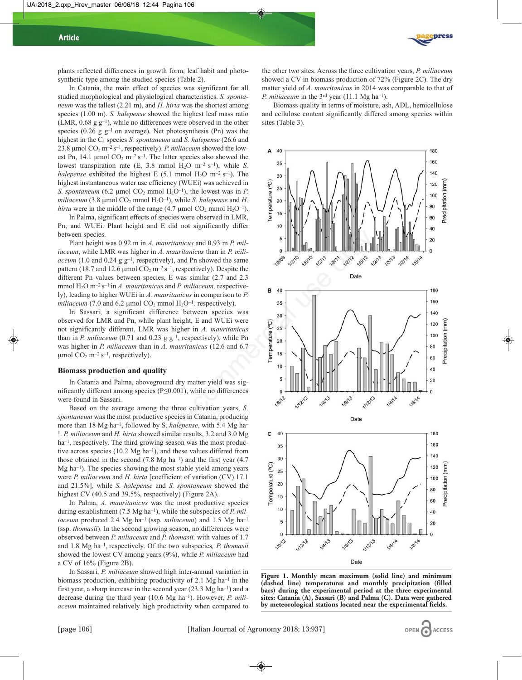

plants reflected differences in growth form, leaf habit and photosynthetic type among the studied species (Table 2).

In Catania, the main effect of species was significant for all studied morphological and physiological characteristics. *S. spontaneum* was the tallest (2.21 m), and *H. hirta* was the shortest among species (1.00 m). *S. halepense* showed the highest leaf mass ratio (LMR,  $0.68$  g g<sup>-1</sup>), while no differences were observed in the other species (0.26 g  $g^{-1}$  on average). Net photosynthesis (Pn) was the highest in the C4 species *S. spontaneum* and *S. halepense* (26.6 and 23.8 umol  $CO<sub>2</sub> m<sup>-2</sup> s<sup>-1</sup>$ , respectively). *P. miliaceum* showed the lowest Pn, 14.1 umol  $CO<sub>2</sub>$  m<sup>-2</sup> s<sup>-1</sup>. The latter species also showed the lowest transpiration rate (E, 3.8 mmol H<sub>2</sub>O m<sup>-2</sup> s<sup>-1</sup>), while *S*. *halepense* exhibited the highest E (5.1 mmol H<sub>2</sub>O m<sup>-2</sup> s<sup>-1</sup>). The highest instantaneous water use efficiency (WUEi) was achieved in *S. spontaneum* (6.2 µmol  $CO_2$  mmol  $H_2O^{-1}$ ), the lowest was in *P. miliaceum* (3.8 µmol  $CO_2$  mmol  $H_2O^{-1}$ ), while *S. halepense* and *H. hirta* were in the middle of the range  $(4.7 \text{ \mu mol } CO_2 \text{ mmol } H_2O^{-1})$ .

In Palma, significant effects of species were observed in LMR, Pn, and WUEi. Plant height and E did not significantly differ between species.

Plant height was 0.92 m in *A. mauritanicus* and 0.93 m *P. miliaceum*, while LMR was higher in *A. mauritanicus* than in *P. miliaceum* (1.0 and 0.24 g  $g^{-1}$ , respectively), and Pn showed the same pattern (18.7 and 12.6 µmol  $CO_2$  m<sup>-2</sup> s<sup>-1</sup>, respectively). Despite the different Pn values between species, E was similar (2.7 and 2.3 mmol H2O m–2 s–1 in *A. mauritanicus* and *P. miliaceum,* respectively), leading to higher WUEi in *A. mauritanicus* in comparison to *P. miliaceum* (7.0 and 6.2 µmol  $CO<sub>2</sub>$  mmol  $H<sub>2</sub>O<sup>-1</sup>$ , respectively).

In Sassari, a significant difference between species was observed for LMR and Pn, while plant height, E and WUEi were not significantly different. LMR was higher in *A. mauritanicus* than in *P. miliaceum* (0.71 and 0.23 g  $g^{-1}$ , respectively), while Pn was higher in *P. miliaceum* than in *A. mauritanicus* (12.6 and 6.7 umol  $CO<sub>2</sub>$  m<sup>-2</sup> s<sup>-1</sup>, respectively).

#### **Biomass production and quality**

In Catania and Palma, aboveground dry matter yield was significantly different among species (P≤0.001), while no differences were found in Sassari.

Based on the average among the three cultivation years, *S. spontaneum* was the most productive species in Catania, producing more than 18 Mg ha–1, followed by S. *halepense*, with 5.4 Mg ha– 1. *P. miliaceum* and *H. hirta* showed similar results, 3.2 and 3.0 Mg ha<sup>-1</sup>, respectively. The third growing season was the most productive across species (10.2 Mg ha<sup>-1</sup>), and these values differed from those obtained in the second  $(7.8 \text{ Mg ha}^{-1})$  and the first year  $(4.7 \text{ g})$  $Mg$  ha<sup>-1</sup>). The species showing the most stable yield among years were *P. miliaceum* and *H. hirta* [coefficient of variation (CV) 17.1 and 21.5%]*,* while *S. halepense* and *S. spontaneum* showed the highest CV (40.5 and 39.5%, respectively) (Figure 2A).

In Palma, *A. mauritanicus* was the most productive species during establishment (7.5 Mg ha–1), while the subspecies of *P. miliaceum* produced 2.4 Mg ha–1 (ssp. *miliaceum*) and 1.5 Mg ha–1 (ssp. *thomasii*). In the second growing season, no differences were observed between *P. miliaceum* and *P. thomasii,* with values of 1.7 and 1.8 Mg ha–1, respectively. Of the two subspecies*, P. thomasii* showed the lowest CV among years (9%), while *P. miliaceum* had a CV of 16% (Figure 2B).

In Sassari, *P. miliaceum* showed high inter-annual variation in biomass production, exhibiting productivity of 2.1 Mg ha<sup>-1</sup> in the first year, a sharp increase in the second year  $(23.3 \text{ Mg ha}^{-1})$  and a decrease during the third year (10.6 Mg ha–1). However, *P. miliaceum* maintained relatively high productivity when compared to the other two sites. Across the three cultivation years, *P. miliaceum* showed a CV in biomass production of 72% (Figure 2C). The dry matter yield of *A. mauritanicus* in 2014 was comparable to that of *P. miliaceum* in the 3<sup>rd</sup> year (11.1 Mg ha<sup>-1</sup>).

Biomass quality in terms of moisture, ash, ADL, hemicellulose and cellulose content significantly differed among species within sites (Table 3).



**Figure 1. Monthly mean maximum (solid line) and minimum (dashed line) temperatures and monthly precipitation (filled bars) during the experimental period at the three experimental sites: Catania (A), Sassari (B) and Palma (C). Data were gathered by meteorological stations located near the experimental fields.**

OPEN CACCESS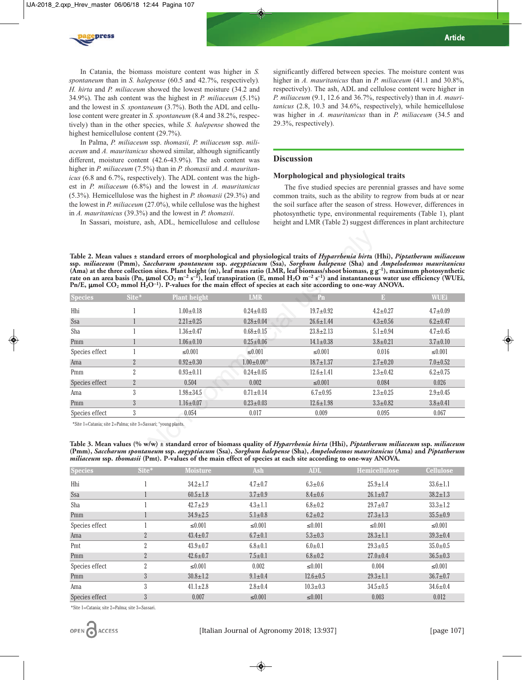![](_page_4_Picture_0.jpeg)

In Catania, the biomass moisture content was higher in *S. spontaneum* than in *S. halepense* (60.5 and 42.7%, respectively)*. H. hirta* and *P. miliaceum* showed the lowest moisture (34.2 and 34.9%). The ash content was the highest in *P. miliaceum* (5.1%) and the lowest in *S. spontaneum* (3.7%). Both the ADL and cellulose content were greater in *S. spontaneum* (8.4 and 38.2%, respectively) than in the other species, while *S. halepense* showed the highest hemicellulose content (29.7%).

In Palma, *P. miliaceum* ssp. *thomasii, P. miliaceum* ssp. *miliaceum* and *A. mauritanicus* showed similar, although significantly different, moisture content (42.6-43.9%). The ash content was higher in *P. miliaceum* (7.5%) than in *P. thomasii* and *A. mauritanicus* (6.8 and 6.7%, respectively). The ADL content was the highest in *P. miliaceum* (6.8%) and the lowest in *A. mauritanicus* (5.3%)*.* Hemicellulose was the highest in *P. thomasii* (29.3%) and the lowest in *P. miliaceum* (27.0%), while cellulose was the highest in *A. mauritanicus* (39.3%) and the lowest in *P. thomasii*.

In Sassari, moisture, ash, ADL, hemicellulose and cellulose

significantly differed between species. The moisture content was higher in *A. mauritanicus* than in *P. miliaceum* (41.1 and 30.8%, respectively). The ash, ADL and cellulose content were higher in *P. miliaceum* (9.1, 12.6 and 36.7%, respectively) than in *A. mauritanicus* (2.8, 10.3 and 34.6%, respectively), while hemicellulose was higher in *A. mauritanicus* than in *P. miliaceum* (34.5 and 29.3%, respectively).

# **Discussion**

#### **Morphological and physiological traits**

The five studied species are perennial grasses and have some common traits, such as the ability to regrow from buds at or near the soil surface after the season of stress. However, differences in photosynthetic type, environmental requirements (Table 1), plant height and LMR (Table 2) suggest differences in plant architecture

| Table 2. Mean values ± standard errors of morphological and physiological traits of Hyparrhenia hirta (Hhi), Piptatherum miliaceum<br>ssp. miliaceum (Pmm), Saccharum spontaneum ssp. aegyptiacum (Ssa), Sorghum halepense (Sha) and Ampelodesmos mauritanicus<br>(Ama) at the three collection sites. Plant height (m), leaf mass ratio (LMR, leaf biomass/shoot biomass, $g g^{-1}$ ), maximum photosynthetic<br>rate on an area basis (Pn, $\mu$ mol CO <sub>2</sub> m <sup>-2</sup> s <sup>-I</sup> ), leaf transpiration (E, mmol H <sub>2</sub> O m <sup>-2</sup> s <sup>-1</sup> ) and instantaneous water use efficiency (WUEi,<br>Pn/E, $\mu$ mol CO <sub>2</sub> mmol H <sub>2</sub> O <sup>-1</sup> ). P-values for the main effect of species at each site according to one-way ANOVA. |                |                                                                                                                                   |                         |                 |                |                |  |  |
|----------------------------------------------------------------------------------------------------------------------------------------------------------------------------------------------------------------------------------------------------------------------------------------------------------------------------------------------------------------------------------------------------------------------------------------------------------------------------------------------------------------------------------------------------------------------------------------------------------------------------------------------------------------------------------------------------------------------------------------------------------------------------------------------------|----------------|-----------------------------------------------------------------------------------------------------------------------------------|-------------------------|-----------------|----------------|----------------|--|--|
| <b>Species</b>                                                                                                                                                                                                                                                                                                                                                                                                                                                                                                                                                                                                                                                                                                                                                                                     | Site*          | <b>Plant height</b>                                                                                                               | <b>LMR</b>              | P <sub>n</sub>  | B.             | <b>WUEi</b>    |  |  |
| Hhi                                                                                                                                                                                                                                                                                                                                                                                                                                                                                                                                                                                                                                                                                                                                                                                                |                | $1.00 \pm 0.18$                                                                                                                   | $0.24 \pm 0.03$         | $19.7 \pm 0.92$ | $4.2 \pm 0.27$ | $4.7 \pm 0.09$ |  |  |
| Ssa                                                                                                                                                                                                                                                                                                                                                                                                                                                                                                                                                                                                                                                                                                                                                                                                |                | $2.21 \pm 0.25$                                                                                                                   | $0.28 \pm 0.04$         | $26.6 \pm 1.44$ | $4.3 \pm 0.56$ | $6.2 \pm 0.47$ |  |  |
| Sha                                                                                                                                                                                                                                                                                                                                                                                                                                                                                                                                                                                                                                                                                                                                                                                                |                | $1.36 \pm 0.47$                                                                                                                   | $0.68 \pm 0.15$         | $23.8 \pm 2.13$ | $5.1 \pm 0.94$ | $4.7 \pm 0.45$ |  |  |
| Pmm                                                                                                                                                                                                                                                                                                                                                                                                                                                                                                                                                                                                                                                                                                                                                                                                |                | $1.06 \pm 0.10$                                                                                                                   | $0.25 \pm 0.06$         | $14.1 \pm 0.38$ | $3.8 \pm 0.21$ | $3.7 \pm 0.10$ |  |  |
| Species effect                                                                                                                                                                                                                                                                                                                                                                                                                                                                                                                                                                                                                                                                                                                                                                                     |                | $\leq 0.001$                                                                                                                      | $\leq 0.001$            | $\leq 0.001$    | 0.016          | $\leq 0.001$   |  |  |
| Ama                                                                                                                                                                                                                                                                                                                                                                                                                                                                                                                                                                                                                                                                                                                                                                                                | $\overline{2}$ | $0.92 \pm 0.30$                                                                                                                   | $1.00 \pm 0.00^{\circ}$ | $18.7 \pm 1.37$ | $2.7 \pm 0.20$ | $7.0 \pm 0.52$ |  |  |
| Pmm                                                                                                                                                                                                                                                                                                                                                                                                                                                                                                                                                                                                                                                                                                                                                                                                | $\overline{2}$ | $0.93 \pm 0.11$                                                                                                                   | $0.24 \pm 0.05$         | $12.6 \pm 1.41$ | $2.3 \pm 0.42$ | $6.2 \pm 0.75$ |  |  |
| Species effect                                                                                                                                                                                                                                                                                                                                                                                                                                                                                                                                                                                                                                                                                                                                                                                     | $\overline{2}$ | 0.504                                                                                                                             | 0.002                   | $\leq 0.001$    | 0.084          | 0.026          |  |  |
| Ama                                                                                                                                                                                                                                                                                                                                                                                                                                                                                                                                                                                                                                                                                                                                                                                                | 3              | $1.98 \pm 34.5$                                                                                                                   | $0.71 \pm 0.14$         | $6.7 \pm 0.95$  | $2.3 \pm 0.25$ | $2.9 \pm 0.45$ |  |  |
| Pmm                                                                                                                                                                                                                                                                                                                                                                                                                                                                                                                                                                                                                                                                                                                                                                                                | 3              | $1.16 \pm 0.07$                                                                                                                   | $0.23 \pm 0.03$         | $12.6 \pm 1.98$ | $3.3 \pm 0.82$ | $3.8 \pm 0.41$ |  |  |
| Species effect                                                                                                                                                                                                                                                                                                                                                                                                                                                                                                                                                                                                                                                                                                                                                                                     | 3              | 0.054                                                                                                                             | 0.017                   | 0.009           | 0.095          | 0.067          |  |  |
| *Site 1=Catania; site 2=Palma; site 3=Sassari; °young plants.                                                                                                                                                                                                                                                                                                                                                                                                                                                                                                                                                                                                                                                                                                                                      |                | Table 3. Mean values (% w/w) ± standard error of biomass quality of Hyparrhenia hirta (Hhi), Piptatherum miliaceum ssp. miliaceum |                         |                 |                |                |  |  |

**Table 3. Mean values (% w/w) ± standard error of biomass quality of** *Hyparrhenia hirta* **(Hhi),** *Piptatherum miliaceum* **ssp.** *miliaceum* **(Pmm),** *Saccharum spontaneum* **ssp.** *aegyptiacum* **(Ssa),** *Sorghum halepense* **(Sha),** *Ampelodesmos mauritanicus* **(Ama) and** *Piptatherum miliaceum* **ssp.** *thomasii* **(Pmt). P-values of the main effect of species at each site according to one-way ANOVA.** 

| <b>Species</b> | Site*          | <b>Moisture</b> | Ash           | <b>ADL</b>     | Hemicellulose  | <b>Cellulose</b> |
|----------------|----------------|-----------------|---------------|----------------|----------------|------------------|
| Hhi            |                | $34.2 \pm 1.7$  | $4.7 \pm 0.7$ | $6.3 \pm 0.6$  | $25.9 \pm 1.4$ | $33.6 \pm 1.1$   |
| Ssa            |                | $60.5 \pm 1.8$  | $3.7 \pm 0.9$ | $8.4 \pm 0.6$  | $26.1 \pm 0.7$ | $38.2 \pm 1.3$   |
| Sha            |                | $42.7 \pm 2.9$  | $4.3 \pm 1.1$ | $6.8 \pm 0.2$  | $29.7 \pm 0.7$ | $33.3 \pm 1.2$   |
| Pmm            |                | $34.9 \pm 2.5$  | $5.1 \pm 0.8$ | $6.2 \pm 0.2$  | $27.3 \pm 1.3$ | $35.5 \pm 0.9$   |
| Species effect |                | ≤0.001          | ≤0.001        | ≤0.001         | $\leq 0.001$   | ≤0.001           |
| Ama            | $\overline{2}$ | $43.4 \pm 0.7$  | $6.7 \pm 0.1$ | $5.3 \pm 0.3$  | $28.3 \pm 1.1$ | $39.3 \pm 0.4$   |
| Pmt            | 2              | $43.9 \pm 0.7$  | $6.8 \pm 0.1$ | $6.0 \pm 0.1$  | $29.3 \pm 0.5$ | $35.0 \pm 0.5$   |
| Pmm            | $\overline{2}$ | $42.6 \pm 0.7$  | $7.5 \pm 0.1$ | $6.8 \pm 0.2$  | $27.0 \pm 0.4$ | $36.5 \pm 0.3$   |
| Species effect | $\overline{2}$ | ≤0.001          | 0.002         | ≤0.001         | 0.004          | ≤0.001           |
| Pmm            | 3              | $30.8 \pm 1.2$  | $9.1 \pm 0.4$ | $12.6 \pm 0.5$ | $29.3 \pm 1.1$ | $36.7 \pm 0.7$   |
| Ama            | 3              | $41.1 \pm 2.8$  | $2.8 \pm 0.4$ | $10.3 \pm 0.3$ | $34.5 \pm 0.5$ | $34.6 \pm 0.4$   |
| Species effect | 3              | 0.007           | $\leq 0.001$  | $\leq 0.001$   | 0.003          | 0.012            |

\*Site 1=Catania; site 2=Palma; site 3=Sassari.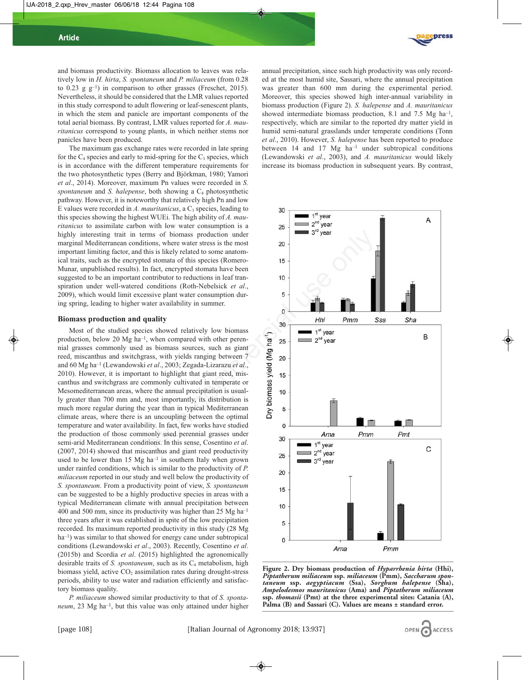and biomass productivity. Biomass allocation to leaves was relatively low in *H. hirta*, *S. spontaneum* and *P. miliaceum* (from 0.28 to 0.23 g  $g^{-1}$ ) in comparison to other grasses (Freschet, 2015). Nevertheless, it should be considered that the LMR values reported in this study correspond to adult flowering or leaf-senescent plants, in which the stem and panicle are important components of the total aerial biomass. By contrast, LMR values reported for *A. mauritanicus* correspond to young plants, in which neither stems nor panicles have been produced.

The maximum gas exchange rates were recorded in late spring for the  $C_4$  species and early to mid-spring for the  $C_3$  species, which is in accordance with the different temperature requirements for the two photosynthetic types (Berry and Björkman, 1980; Yamori *et al*., 2014). Moreover, maximum Pn values were recorded in *S. spontaneum* and *S. halepense*, both showing a C4 photosynthetic pathway. However, it is noteworthy that relatively high Pn and low E values were recorded in *A. mauritanicus*, a C<sub>3</sub> species, leading to this species showing the highest WUEi. The high ability of *A. mauritanicus* to assimilate carbon with low water consumption is a highly interesting trait in terms of biomass production under marginal Mediterranean conditions, where water stress is the most important limiting factor, and this is likely related to some anatomical traits, such as the encrypted stomata of this species (Romero-Munar, unpublished results). In fact, encrypted stomata have been suggested to be an important contributor to reductions in leaf transpiration under well-watered conditions (Roth-Nebelsick *et al*., 2009), which would limit excessive plant water consumption during spring, leading to higher water availability in summer.

#### **Biomass production and quality**

Most of the studied species showed relatively low biomass production, below 20  $Mg$  ha<sup>-1</sup>, when compared with other perennial grasses commonly used as biomass sources, such as giant reed, miscanthus and switchgrass, with yields ranging between 7 and 60 Mg ha–1 (Lewandowski *et al*., 2003; Zegada-Lizarazu *et al*., 2010). However, it is important to highlight that giant reed, miscanthus and switchgrass are commonly cultivated in temperate or Mesomediterranean areas, where the annual precipitation is usually greater than 700 mm and, most importantly, its distribution is much more regular during the year than in typical Mediterranean climate areas, where there is an uncoupling between the optimal temperature and water availability. In fact, few works have studied the production of those commonly used perennial grasses under semi-arid Mediterranean conditions. In this sense, Cosentino *et al*. (2007, 2014) showed that miscanthus and giant reed productivity used to be lower than 15 Mg ha<sup>-1</sup> in southern Italy when grown under rainfed conditions, which is similar to the productivity of *P. miliaceum* reported in our study and well below the productivity of *S. spontaneum*. From a productivity point of view, *S. spontaneum* can be suggested to be a highly productive species in areas with a typical Mediterranean climate with annual precipitation between 400 and 500 mm, since its productivity was higher than 25 Mg ha–1 three years after it was established in spite of the low precipitation recorded. Its maximum reported productivity in this study (28 Mg ha<sup>-1</sup>) was similar to that showed for energy cane under subtropical conditions (Lewandowski *et al*., 2003). Recently, Cosentino *et al*. (2015b) and Scordia *et al*. (2015) highlighted the agronomically desirable traits of *S. spontaneum*, such as its  $C_4$  metabolism, high biomass yield, active  $CO<sub>2</sub>$  assimilation rates during drought-stress periods, ability to use water and radiation efficiently and satisfactory biomass quality.

*P. miliaceum* showed similar productivity to that of *S. spontaneum*, 23 Mg ha–1, but this value was only attained under higher

![](_page_5_Picture_6.jpeg)

annual precipitation, since such high productivity was only recorded at the most humid site, Sassari, where the annual precipitation was greater than 600 mm during the experimental period. Moreover, this species showed high inter-annual variability in biomass production (Figure 2). *S. halepense* and *A. mauritanicus* showed intermediate biomass production, 8.1 and 7.5 Mg ha<sup>-1</sup>, respectively, which are similar to the reported dry matter yield in humid semi-natural grasslands under temperate conditions (Tonn *et al*., 2010). However, *S. halepense* has been reported to produce between 14 and 17  $Mg$  ha<sup>-1</sup> under subtropical conditions (Lewandowski *et al*., 2003), and *A. mauritanicus* would likely increase its biomass production in subsequent years. By contrast,

![](_page_5_Figure_8.jpeg)

**Figure 2. Dry biomass production of** *Hyparrhenia hirta* **(Hhi),** *Piptatherum miliaceum* **ssp.** *miliaceum* **(Pmm),** *Saccharum spontaneum* **ssp.** *aegyptiacum* **(Ssa),** *Sorghum halepense* **(Sha),** *Ampelodesmos mauritanicus* **(Ama) and** *Piptatherum miliaceum* **ssp.** *thomasii* **(Pmt) at the three experimental sites: Catania (A), Palma (B) and Sassari (C). Values are means ± standard error.**

![](_page_5_Picture_12.jpeg)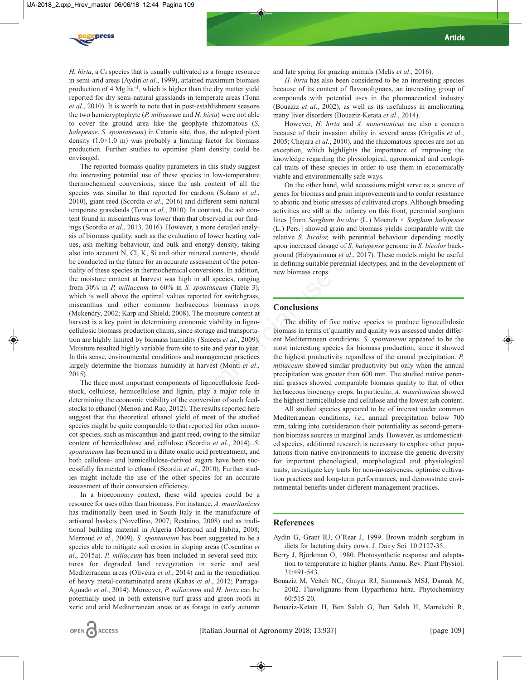![](_page_6_Picture_0.jpeg)

*H. hirta*, a C<sub>4</sub> species that is usually cultivated as a forage resource in semi-arid areas (Aydin *et al*., 1999), attained maximum biomass production of  $4 \text{ Mg} \text{ ha}^{-1}$ , which is higher than the dry matter yield reported for dry semi-natural grasslands in temperate areas (Tonn *et al*., 2010). It is worth to note that in post-establishment seasons the two hemicryptophyte (*P. miliaceum* and *H. hirta*) were not able to cover the ground area like the geophyte rhizomatous (*S. halepense*, *S. spontaneum*) in Catania site, thus, the adopted plant density  $(1.0 \times 1.0 \text{ m})$  was probably a limiting factor for biomass production. Further studies to optimise plant density could be envisaged.

The reported biomass quality parameters in this study suggest the interesting potential use of these species in low-temperature thermochemical conversions, since the ash content of all the species was similar to that reported for cardoon (Solano *et al*., 2010), giant reed (Scordia *et al*., 2016) and different semi-natural temperate grasslands (Tonn *et al*., 2010). In contrast, the ash content found in miscanthus was lower than that observed in our findings (Scordia *et al*., 2013, 2016). However, a more detailed analysis of biomass quality, such as the evaluation of lower heating values, ash melting behaviour, and bulk and energy density, taking also into account N, Cl, K, Si and other mineral contents, should be conducted in the future for an accurate assessment of the potentiality of these species in thermochemical conversions. In addition, the moisture content at harvest was high in all species, ranging from 30% in *P. miliaceum* to 60% in *S. spontaneum* (Table 3), which is well above the optimal values reported for switchgrass, miscanthus and other common herbaceous biomass crops (Mckendry, 2002; Karp and Shield, 2008). The moisture content at harvest is a key point in determining economic viability in lignocellulosic biomass production chains, since storage and transportation are highly limited by biomass humidity (Smeets *et al*., 2009). Moisture resulted highly variable from site to site and year to year. In this sense, environmental conditions and management practices largely determine the biomass humidity at harvest (Monti *et al*., 2015). as the evaluation of lower heating values of the solution of the reading values of the reading the random in the solution of S. *hale permial*<br>
S. S. and other mineral contents, should ground (Habyariman *et al.*, 2017).<br>

The three most important components of lignocellulosic feedstock, cellulose, hemicellulose and lignin, play a major role in determining the economic viability of the conversion of such feedstocks to ethanol (Menon and Rao, 2012). The results reported here suggest that the theoretical ethanol yield of most of the studied species might be quite comparable to that reported for other monocot species, such as miscanthus and giant reed, owing to the similar content of hemicellulose and cellulose (Scordia *et al*., 2014). *S. spontaneum* has been used in a dilute oxalic acid pretreatment, and both cellulose- and hemicellulose-derived sugars have been successfully fermented to ethanol (Scordia *et al*., 2010). Further studies might include the use of the other species for an accurate assessment of their conversion efficiency.

In a bioeconomy context, these wild species could be a resource for uses other than biomass. For instance, *A. mauritanicus* has traditionally been used in South Italy in the manufacture of artisanal baskets (Novellino, 2007; Restaino, 2008) and as traditional building material in Algeria (Merzoud and Habita, 2008; Merzoud *et al*., 2009). *S. spontaneum* has been suggested to be a species able to mitigate soil erosion in sloping areas (Cosentino *et al*., 2015a). *P. miliaceum* has been included in several seed mixtures for degraded land revegetation in xeric and arid Mediterranean areas (Oliveira *et al*., 2014) and in the remediation of heavy metal-contaminated areas (Kabas *et al*., 2012; Parraga-Aguado *et al*., 2014). Moreover, *P. miliaceum* and *H. hirta* can be potentially used in both extensive turf grass and green roofs in xeric and arid Mediterranean areas or as forage in early autumn

and late spring for grazing animals (Melis *et al*., 2016).

*H. hirta* has also been considered to be an interesting species because of its content of flavonolignans, an interesting group of compounds with potential uses in the pharmaceutical industry (Bouaziz *et al*., 2002), as well as its usefulness in ameliorating many liver disorders (Bouaziz-Ketata *et al*., 2014).

However, *H. hirta* and *A. mauritanicus* are also a concern because of their invasion ability in several areas (Grigulis *et al*., 2005; Chejara *et al*., 2010), and the rhizomatous species are not an exception, which highlights the importance of improving the knowledge regarding the physiological, agronomical and ecological traits of these species in order to use them in economically viable and environmentally safe ways.

On the other hand, wild accessions might serve as a source of genes for biomass and grain improvements and to confer resistance to abiotic and biotic stresses of cultivated crops. Although breeding activities are still at the infancy on this front, perennial sorghum lines [from *Sorghum bicolor* (L.) Moench × *Sorghum halepense* (L.) Pers.] showed grain and biomass yields comparable with the relative *S. bicolor,* with perennial behaviour depending mostly upon increased dosage of *S. halepense* genome in *S. bicolor* background (Habyarimana *et al*., 2017). These models might be useful in defining suitable perennial ideotypes, and in the development of new biomass crops.

# **Conclusions**

The ability of five native species to produce lignocellulosic biomass in terms of quantity and quality was assessed under different Mediterranean conditions. *S. spontaneum* appeared to be the most interesting species for biomass production, since it showed the highest productivity regardless of the annual precipitation. *P. miliaceum* showed similar productivity but only when the annual precipitation was greater than 600 mm. The studied native perennial grasses showed comparable biomass quality to that of other herbaceous bioenergy crops. In particular, *A. mauritanicus* showed the highest hemicellulose and cellulose and the lowest ash content.

All studied species appeared to be of interest under common Mediterranean conditions, *i.e*., annual precipitation below 700 mm, taking into consideration their potentiality as second-generation biomass sources in marginal lands. However, as undomesticated species, additional research is necessary to explore other populations from native environments to increase the genetic diversity for important phenological, morphological and physiological traits, investigate key traits for non-invasiveness, optimise cultivation practices and long-term performances, and demonstrate environmental benefits under different management practices.

# **References**

- Aydin G, Grant RJ, O'Rear J, 1999. Brown midrib sorghum in diets for lactating dairy cows. J. Dairy Sci. 10:2127-35.
- Berry J, Björkman O, 1980. Photosynthetic response and adaptation to temperature in higher plants. Annu. Rev. Plant Physiol. 31:491-543.
- Bouaziz M, Veitch NC, Grayer RJ, Simmonds MSJ, Damak M, 2002. Flavolignans from Hyparrhenia hirta. Phytochemistry 60:515-20.
- Bouaziz-Ketata H, Ben Salah G, Ben Salah H, Marrekchi R,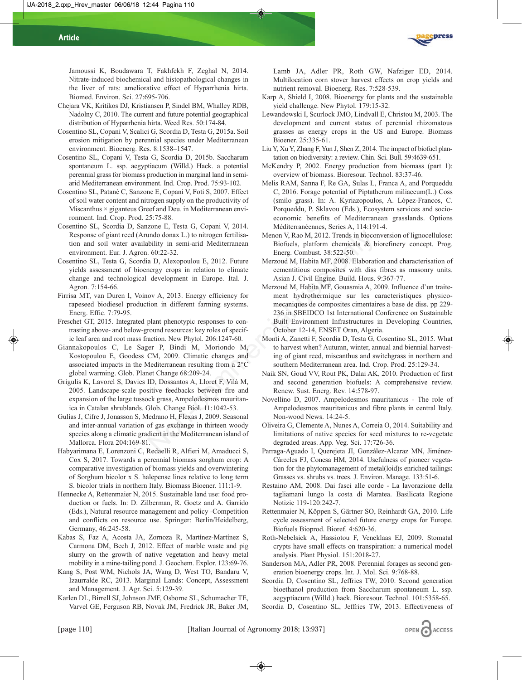![](_page_7_Picture_0.jpeg)

Jamoussi K, Boudawara T, Fakhfekh F, Zeghal N, 2014. Nitrate-induced biochemical and histopathological changes in the liver of rats: ameliorative effect of Hyparrhenia hirta. Biomed. Environ. Sci. 27:695-706.

- Chejara VK, Kritikos DJ, Kristiansen P, Sindel BM, Whalley RDB, Nadolny C, 2010. The current and future potential geographical distribution of Hyparrhenia hirta. Weed Res. 50:174-84.
- Cosentino SL, Copani V, Scalici G, Scordia D, Testa G, 2015a. Soil erosion mitigation by perennial species under Mediterranean environment. Bioenerg. Res. 8:1538–1547.
- Cosentino SL, Copani V, Testa G, Scordia D, 2015b. Saccharum spontaneum L. ssp. aegyptiacum (Willd.) Hack. a potential perennial grass for biomass production in marginal land in semiarid Mediterranean environment. Ind. Crop. Prod. 75:93-102.
- Cosentino SL, Patanè C, Sanzone E, Copani V, Foti S, 2007. Effect of soil water content and nitrogen supply on the productivity of Miscanthus  $\times$  giganteus Greef and Deu. in Mediterranean environment. Ind. Crop. Prod. 25:75-88.
- Cosentino SL, Scordia D, Sanzone E, Testa G, Copani V, 2014. Response of giant reed (Arundo donax L.) to nitrogen fertilisation and soil water availability in semi-arid Mediterranean environment. Eur. J. Agron. 60:22-32.
- Cosentino SL, Testa G, Scordia D, Alexopoulou E, 2012. Future yields assessment of bioenergy crops in relation to climate change and technological development in Europe. Ital. J. Agron. 7:154-66.
- Firrisa MT, van Duren I, Voinov A, 2013. Energy efficiency for rapeseed biodiesel production in different farming systems. Energ. Effic. 7:79-95.
- Freschet GT, 2015. Integrated plant phenotypic responses to contrasting above- and below-ground resources: key roles of specific leaf area and root mass fraction. New Phytol. 206:1247-60.
- Giannakopoulos C, Le Sager P, Bindi M, Moriondo M, Kostopoulou E, Goodess CM, 2009. Climatic changes and associated impacts in the Mediterranean resulting from a 2°C global warming. Glob. Planet Change 68:209-24.
- Grigulis K, Lavorel S, Davies ID, Dossantos A, Lloret F, Vilà M, 2005. Landscape-scale positive feedbacks between fire and expansion of the large tussock grass, Ampelodesmos mauritanica in Catalan shrublands. Glob. Change Biol. 11:1042-53.
- Gulías J, Cifre J, Jonasson S, Medrano H, Flexas J, 2009. Seasonal and inter-annual variation of gas exchange in thirteen woody species along a climatic gradient in the Mediterranean island of Mallorca. Flora 204:169-81.
- Habyarimana E, Lorenzoni C, Redaelli R, Alfieri M, Amaducci S, Cox S, 2017. Towards a perennial biomass sorghum crop: A comparative investigation of biomass yields and overwintering of Sorghum bicolor x S. halepense lines relative to long term S. bicolor trials in northern Italy. Biomass Bioener. 111:1-9.
- Hennecke A, Rettenmaier N, 2015. Sustainable land use: food production or fuels. In: D. Zilberman, R. Goetz and A. Garrido (Eds.), Natural resource management and policy -Competition and conflicts on resource use. Springer: Berlin/Heidelberg, Germany, 46:245-58.
- Kabas S, Faz A, Acosta JA, Zornoza R, Martínez-Martínez S, Carmona DM, Bech J, 2012. Effect of marble waste and pig slurry on the growth of native vegetation and heavy metal mobility in a mine-tailing pond. J. Geochem. Explor. 123:69-76.
- Kang S, Post WM, Nichols JA, Wang D, West TO, Bandaru V, Izaurralde RC, 2013. Marginal Lands: Concept, Assessment and Management. J. Agr. Sci. 5:129-39.
- Karlen DL, Birrell SJ, Johnson JMF, Osborne SL, Schumacher TE, Varvel GE, Ferguson RB, Novak JM, Fredrick JR, Baker JM,

Lamb JA, Adler PR, Roth GW, Nafziger ED, 2014. Multilocation corn stover harvest effects on crop yields and nutrient removal. Bioenerg. Res. 7:528-539.

- Karp A, Shield I, 2008. Bioenergy for plants and the sustainable yield challenge. New Phytol. 179:15-32.
- Lewandowski I, Scurlock JMO, Lindvall E, Christou M, 2003. The development and current status of perennial rhizomatous grasses as energy crops in the US and Europe. Biomass Bioener. 25:335-61.
- Liu Y, Xu Y, Zhang F, Yun J, Shen Z, 2014. The impact of biofuel plantation on biodiversity: a review. Chin. Sci. Bull. 59:4639-651.
- McKendry P, 2002. Energy production from biomass (part 1): overview of biomass. Bioresour. Technol. 83:37-46.
- Melis RAM, Sanna F, Re GA, Sulas L, Franca A, and Porqueddu C, 2016. Forage potential of Piptatherum miliaceum(L.) Coss (smilo grass). In: A. Kyriazopoulos, A. López-Francos, C. Porqueddu, P. Sklavou (Eds.), Ecosystem services and socioeconomic benefits of Mediterranean grasslands. Options Méditerranéennes, Series A, 114:191-4.
- Menon V, Rao M, 2012. Trends in bioconversion of lignocellulose: Biofuels, platform chemicals & biorefinery concept. Prog. Energ. Combust. 38:522-50.
- Merzoud M, Habita MF, 2008. Elaboration and characterisation of cementitious composites with diss fibres as masonry units. Asian J. Civil Engine. Build. Hous. 9:367-77.
- Merzoud M, Habita MF, Gouasmia A, 2009. Influence d'un traitement hydrothermique sur les caracteristiques physicomecaniques de composites cimentaires a base de diss. pp 229- 236 in SBEIDCO 1st International Conference on Sustainable Built Environment Infrastructures in Developing Countries, October 12-14, ENSET Oran, Algeria. ndo donax L.) to nitrogen fertilisa-<br>
Menon V, Rao M, 2012. Trends in biocol<br>
in its mini-arid Mediterranean<br>
Biofuels, palatom chemicals & b<br>
and D, Alexopoulou E, 2012. Future Merzoud M, Habita MF, 2008. Elaborati<br>
nerg
	- Monti A, Zanetti F, Scordia D, Testa G, Cosentino SL, 2015. What to harvest when? Autumn, winter, annual and biennial harvesting of giant reed, miscanthus and switchgrass in northern and southern Mediterranean area. Ind. Crop. Prod. 25:129-34.
	- Naik SN, Goud VV, Rout PK, Dalai AK, 2010. Production of first and second generation biofuels: A comprehensive review. Renew. Sust. Energ. Rev. 14:578-97.
	- Novellino D, 2007. Ampelodesmos mauritanicus The role of Ampelodesmos mauritanicus and fibre plants in central Italy. Non-wood News. 14:24-5.
	- Oliveira G, Clemente A, Nunes A, Correia O, 2014. Suitability and limitations of native species for seed mixtures to re-vegetate degraded areas. App. Veg. Sci. 17:726-36.
	- Parraga-Aguado I, Querejeta JI, González-Alcaraz MN, Jiménez-Cárceles FJ, Conesa HM, 2014. Usefulness of pioneer vegetation for the phytomanagement of metal(loid)s enriched tailings: Grasses vs. shrubs vs. trees. J. Environ. Manage. 133:51-6.
	- Restaino AM, 2008. Dai fasci alle corde La lavorazione della tagliamani lungo la costa di Maratea. Basilicata Regione Notizie 119-120:242-7.
	- Rettenmaier N, Köppen S, Gärtner SO, Reinhardt GA, 2010. Life cycle assessment of selected future energy crops for Europe. Biofuels Bioprod. Bioref. 4:620-36.
	- Roth-Nebelsick A, Hassiotou F, Veneklaas EJ, 2009. Stomatal crypts have small effects on transpiration: a numerical model analysis. Plant Physiol. 151:2018-27.
	- Sanderson MA, Adler PR, 2008. Perennial forages as second generation bioenergy crops. Int. J. Mol. Sci. 9:768-88.
	- Scordia D, Cosentino SL, Jeffries TW, 2010. Second generation bioethanol production from Saccharum spontaneum L. ssp. aegyptiacum (Willd.) hack. Bioresour. Technol. 101:5358-65.
	- Scordia D, Cosentino SL, Jeffries TW, 2013. Effectiveness of

![](_page_7_Picture_41.jpeg)